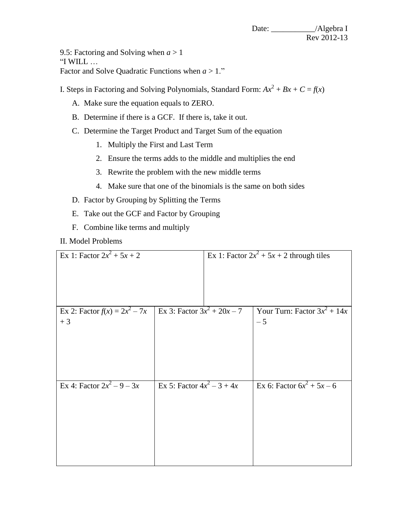Date: \_\_\_\_\_\_\_\_\_\_\_/Algebra I Rev 2012-13

9.5: Factoring and Solving when  $a > 1$ "I WILL … Factor and Solve Quadratic Functions when *a* > 1."

I. Steps in Factoring and Solving Polynomials, Standard Form:  $Ax^2 + Bx + C = f(x)$ 

- A. Make sure the equation equals to ZERO.
- B. Determine if there is a GCF. If there is, take it out.
- C. Determine the Target Product and Target Sum of the equation
	- 1. Multiply the First and Last Term
	- 2. Ensure the terms adds to the middle and multiplies the end
	- 3. Rewrite the problem with the new middle terms
	- 4. Make sure that one of the binomials is the same on both sides
- D. Factor by Grouping by Splitting the Terms
- E. Take out the GCF and Factor by Grouping
- F. Combine like terms and multiply

II. Model Problems

| Ex 1: Factor $2x^2 + 5x + 2$            |                               | Ex 1: Factor $2x^2 + 5x + 2$ through tiles |                                        |
|-----------------------------------------|-------------------------------|--------------------------------------------|----------------------------------------|
| Ex 2: Factor $f(x) = 2x^2 - 7x$<br>$+3$ | Ex 3: Factor $3x^2 + 20x - 7$ |                                            | Your Turn: Factor $3x^2 + 14x$<br>$-5$ |
| Ex 4: Factor $2x^2 - 9 - 3x$            | Ex 5: Factor $4x^2 - 3 + 4x$  |                                            | Ex 6: Factor $6x^2 + 5x - 6$           |